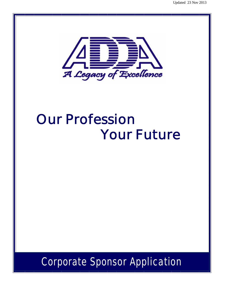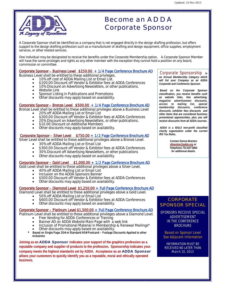

# Become an ADDA Corporate Sponsor

A Corporate Sponsor shall be identified as a company that is not engaged directly in the design drafting profession, but offers support to the design drafting profession such as a manufacturer of drafting and design equipment, office supplies, employment services, or other related services.

One individual may be designated to receive the benefits under the Corporate Membership option. A Corporate Sponsor Member will have the same privileges and rights as any other member with the exception they cannot hold a position on any board, commission or committee.

#### Corporate Sponsor – Business Level \$250.00 + 1/4 Page Conference Brochure AD

Business Level shall be entitled to these additional privileges.

- 10% off cost of ADDA Mailing List or Email List.
	- \$100.00 Discount off Vendor & Exhibitor fees at ADDA Conferences
	- 10% Discount on Advertising Newsletters, or other publications.
	- Website Link
	- Sponsor Listing in Publications and Promotions
	- Other discounts may apply based on availability.

#### Corporate Sponsor – Bronze Level \$500.00 + 1/4 Page Conference Brochure AD

Bronze Level shall be entitled to these additional privileges above a Business Level 20% off ADDA Mailing List or Email List

- \$200.00 Discount off Vendor & Exhibitor fees at ADDA Conferences
- 20% Discount on Advertising Newsletters, or other publications.
- \$10.00 Discount on Additional Members
- Other discounts may apply based on availability.

#### Corporate Sponsor – Silver Level \$750.00 + 1/2 Page Conference Brochure AD

Silver Level shall be entitled to these additional privileges above a Bronze Level.

- 30% off ADDA Mailing List or Email List
- **•** \$300.00 Discount off Vendor & Exhibitor fees at ADDA Conferences
- 30% Discount off Advertising Newsletters, or other publications
- Other discounts may apply based on availability.

#### Corporate Sponsor – Gold Level \$1,000.00 + 1/2 Page Conference Brochure AD

Gold Level shall be entitled to these additional privileges above a Silver Level.

- 40% off ADDA Mailing List or Email List
- Inclusion on the ADDA Sponsors Banner
- \$500.00 Discount off Vendor & Exhibitor fees at ADDA Conferences
- Other discounts may apply based on availability.

#### Corporate Sponsor – Diamond Level \$1,250.00 + Full Page Conference Brochure AD

Diamond Level shall be entitled to these additional privileges above a Gold Level.

- 50% off ADDA Mailing List or Email List
- \$600.00 Discount off Vendor & Exhibitor fees at ADDA Conferences
- Other discounts may apply based on availability.

#### Corporate Sponsor – Platinum Level \$1,500.00 + Full Page Conference Brochure AD

Platinum Level shall be entitled to these additional privileges above a Diamond Level.

- Free Vending for ADDA Conferences or Training
- Banner AD on ADDA Website Main Page with a web link
- Inclusion of Promotional Material in Membership & Renewal Mailings\*
- Other discounts may apply based on availability.
- Based on Single Page 20# or Standard 60# Postcard Postage Discounts Applied to other **inclusions**

**Joining as an** ADDA Sponsor **indicates your support of the graphics profession as a reputable company and supplier of products to the profession. Sponsorship indicates your company meets the highest standards set by ADDA. Acceptance as an** ADDA Sponsor **allows your customers to quickly identify you as a reputable, moral and ethically operated business.**

## Corporate Sponsorship *is*

*an Annual Membership Category which will list your Company as an ADDA Corporate and Conference Sponsor.* 

*Based on the Corporate Sponsor classification, you receive benefits such as website links, free advertising, magazine advertisement discounts, access to mailing list, special membership discounts, conference discounts, exhibitor fees discounts and other items that are considered business promotional opportunities, plus you will receive discounts from all ADDA sources.* 

*ADDA is a 501c3 non-profit classified charity organization under the current IRS Tax Rules.* 

> *Contact Donna Brenton dbrenton@adda.org or Telephone 731-627-0802 for additional details.*

### **CORPORATE** SPONSOR SPECIAL

SPONSORS RECEIVE SPECIAL ADVERTISEMENT IN THE CONFERENCE **BROCHURE** 

Based on Sponsor Level See Adjacent Information

INFORMATION MUST BE RECEIVED NO LATER THAN March 10, 2013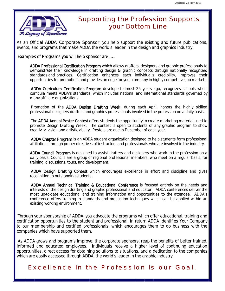

## Supporting the Profession Supports your Bottom Line

As an Official ADDA Corporate Sponsor, you help support the existing and future publications, events, and programs that make ADDA the world's leader in the design and graphics industry.

### Examples of Programs you will help sponsor are …..

ADDA Professional Certification Program which allows drafters, designers and graphic professionals to demonstrate their knowledge in drafting design & graphic concepts through nationally recognized standards and practices. Certification enhances each individual's credibility, improves their opportunities for promotion, and provides an edge for your company in highly competitive job markets.

ADDA Curriculum Certification Program developed almost 25 years ago, recognizes schools who's curricula meets ADDA's standards, which includes national and international standards governed by many affiliate organizations.

Promotion of the ADDA Design Drafting Week, during each April, honors the highly skilled professional designers drafters and graphics professionals involved in the profession on a daily basis.

The ADDA Annual Poster Contest offers students the opportunity to create marketing material used to promote Design Drafting Week. The contest is open to students of any graphic program to show creativity, vision and artistic ability. Posters are due in December of each year.

ADDA Chapter Program is an ADDA student organization designed to help students form professional affiliations through proper directives of instructors and professionals who are involved in the industry.

ADDA Council Program is designed to assist drafters and designers who work in the profession on a daily basis. Councils are a group of regional professional members, who meet on a regular basis, for training, discussions, tours, and development.

ADDA Design Drafting Contest which encourages excellence in effort and discipline and gives recognition to outstanding students.

ADDA Annual Technical Training & Educational Conference is focused entirely on the needs and interests of the design drafting and graphic professional and educator. ADDA conferences deliver the most up-to-date educational and training information and opportunities to the attendee. ADDA's conference offers training in standards and production techniques which can be applied within an existing working environment.

Through your sponsorship of ADDA, you advocate the programs which offer educational, training and certification opportunities to the student and professional. In return ADDA Identifies Your Company to our membership and certified professionals, which encourages them to do business with the companies which have supported them.

As ADDA grows and programs improve, the corporate sponsors, reap the benefits of better trained, informed and educated employees. Individuals receive a higher level of continuing education opportunities, direct access for obtaining solutions to situations, and a dedication to the companies which are easily accessed through ADDA, the world's leader in the graphic industry.

## Excellence in the Profession is our Goal.